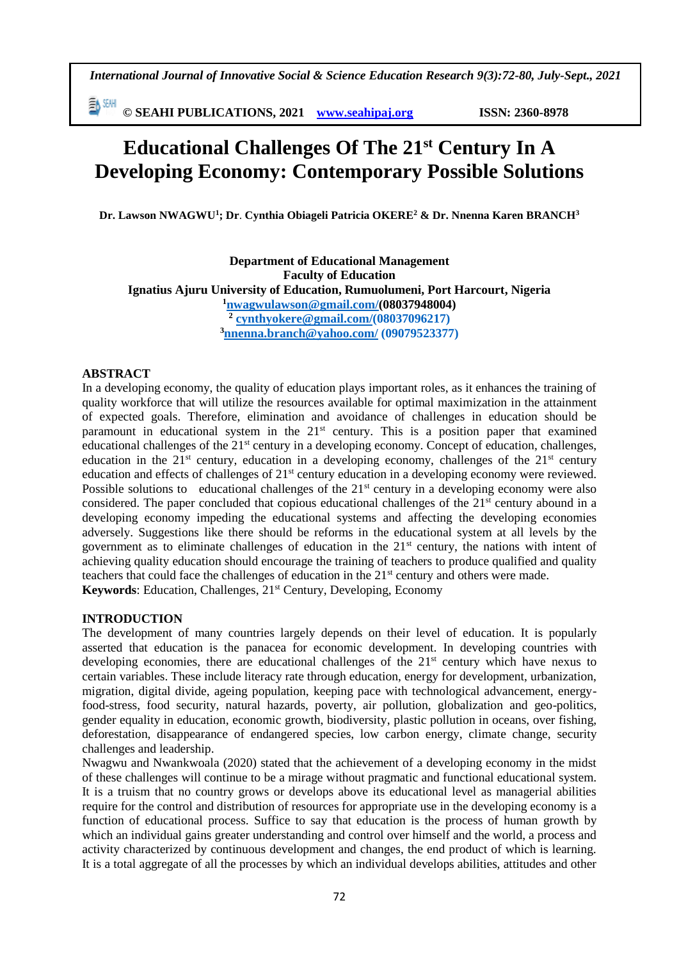*International Journal of Innovative Social & Science Education Research 9(3):72-80, July-Sept., 2021*

**≣A** SEMH **© SEAHI PUBLICATIONS, 2021 [www.seahipaj.org](http://www.seahipaj.org/) ISSN: 2360-8978**

# **Educational Challenges Of The 21st Century In A Developing Economy: Contemporary Possible Solutions**

**Dr. Lawson NWAGWU<sup>1</sup> ; Dr**. **Cynthia Obiageli Patricia OKERE<sup>2</sup> & Dr. Nnenna Karen BRANCH<sup>3</sup>**

**Department of Educational Management Faculty of Education Ignatius Ajuru University of Education, Rumuolumeni, Port Harcourt, Nigeria <sup>1</sup>[nwagwulawson@gmail.com/](mailto:nwagwulawson@gmail.com)(08037948004) 2 [cynthyokere@gmail.com/](mailto:cynthiaokere@gmail.com)(08037096217) <sup>3</sup>[nnenna.branch@yahoo.com/](mailto:nnenna.branch@yahoo.com) (09079523377)**

# **ABSTRACT**

In a developing economy, the quality of education plays important roles, as it enhances the training of quality workforce that will utilize the resources available for optimal maximization in the attainment of expected goals. Therefore, elimination and avoidance of challenges in education should be paramount in educational system in the  $21<sup>st</sup>$  century. This is a position paper that examined educational challenges of the 21<sup>st</sup> century in a developing economy. Concept of education, challenges, education in the  $21<sup>st</sup>$  century, education in a developing economy, challenges of the  $21<sup>st</sup>$  century education and effects of challenges of 21<sup>st</sup> century education in a developing economy were reviewed. Possible solutions to educational challenges of the  $21<sup>st</sup>$  century in a developing economy were also considered. The paper concluded that copious educational challenges of the 21<sup>st</sup> century abound in a developing economy impeding the educational systems and affecting the developing economies adversely. Suggestions like there should be reforms in the educational system at all levels by the government as to eliminate challenges of education in the  $21<sup>st</sup>$  century, the nations with intent of achieving quality education should encourage the training of teachers to produce qualified and quality teachers that could face the challenges of education in the  $21<sup>st</sup>$  century and others were made. **Keywords:** Education, Challenges, 21<sup>st</sup> Century, Developing, Economy

### **INTRODUCTION**

The development of many countries largely depends on their level of education. It is popularly asserted that education is the panacea for economic development. In developing countries with developing economies, there are educational challenges of the 21<sup>st</sup> century which have nexus to certain variables. These include literacy rate through education, energy for development, urbanization, migration, digital divide, ageing population, keeping pace with technological advancement, energyfood-stress, food security, natural hazards, poverty, air pollution, globalization and geo-politics, gender equality in education, economic growth, biodiversity, plastic pollution in oceans, over fishing, deforestation, disappearance of endangered species, low carbon energy, climate change, security challenges and leadership.

Nwagwu and Nwankwoala (2020) stated that the achievement of a developing economy in the midst of these challenges will continue to be a mirage without pragmatic and functional educational system. It is a truism that no country grows or develops above its educational level as managerial abilities require for the control and distribution of resources for appropriate use in the developing economy is a function of educational process. Suffice to say that education is the process of human growth by which an individual gains greater understanding and control over himself and the world, a process and activity characterized by continuous development and changes, the end product of which is learning. It is a total aggregate of all the processes by which an individual develops abilities, attitudes and other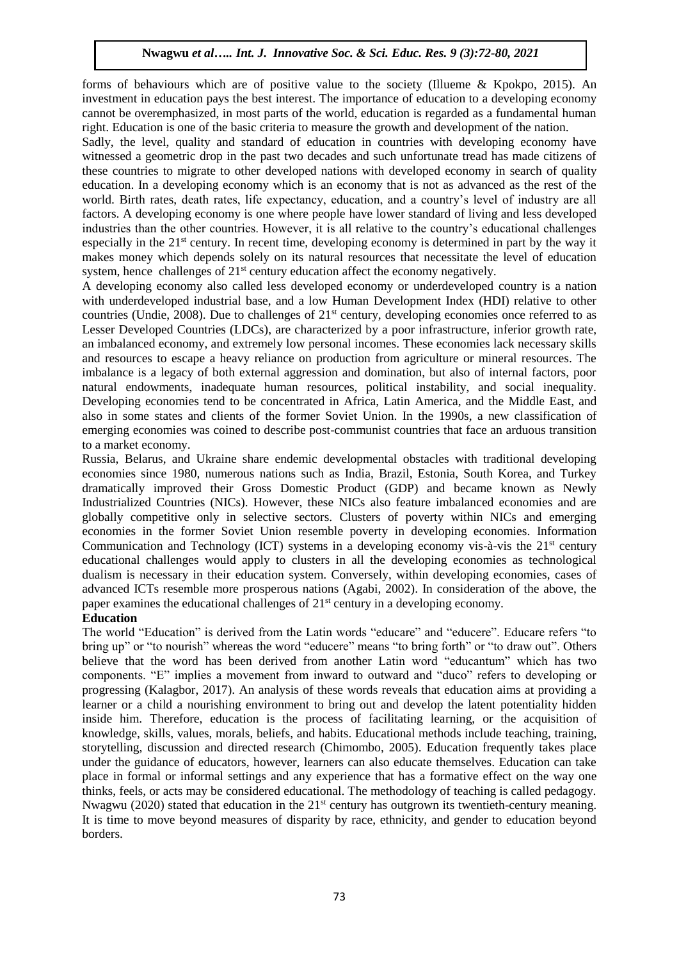forms of behaviours which are of positive value to the society (Illueme & Kpokpo, 2015). An investment in education pays the best interest. The importance of education to a developing economy cannot be overemphasized, in most parts of the world, education is regarded as a fundamental human right. Education is one of the basic criteria to measure the growth and development of the nation.

Sadly, the level, quality and standard of education in countries with developing economy have witnessed a geometric drop in the past two decades and such unfortunate tread has made citizens of these countries to migrate to other developed nations with developed economy in search of quality education. In a developing economy which is an economy that is not as advanced as the rest of the world. Birth rates, death rates, life expectancy, education, and a country's level of industry are all factors. A developing economy is one where people have lower standard of living and less developed industries than the other countries. However, it is all relative to the country's educational challenges especially in the 21<sup>st</sup> century. In recent time, developing economy is determined in part by the way it makes money which depends solely on its natural resources that necessitate the level of education system, hence challenges of  $21<sup>st</sup>$  century education affect the economy negatively.

A developing economy also called less developed economy or underdeveloped country is a nation with underdeveloped industrial base, and a low Human Development Index (HDI) relative to other countries (Undie, 2008). Due to challenges of  $21<sup>st</sup>$  century, developing economies once referred to as Lesser Developed Countries (LDCs), are characterized by a poor infrastructure, inferior growth rate, an imbalanced economy, and extremely low personal incomes. These economies lack necessary skills and resources to escape a heavy reliance on production from agriculture or mineral resources. The imbalance is a legacy of both external aggression and domination, but also of internal factors, poor natural endowments, inadequate human resources, political instability, and social inequality. Developing economies tend to be concentrated in Africa, Latin America, and the Middle East, and also in some states and clients of the former Soviet Union. In the 1990s, a new classification of emerging economies was coined to describe post-communist countries that face an arduous transition to a market economy.

Russia, Belarus, and Ukraine share endemic developmental obstacles with traditional developing economies since 1980, numerous nations such as India, Brazil, Estonia, South Korea, and Turkey dramatically improved their Gross Domestic Product (GDP) and became known as Newly Industrialized Countries (NICs). However, these NICs also feature imbalanced economies and are globally competitive only in selective sectors. Clusters of poverty within NICs and emerging economies in the former Soviet Union resemble poverty in developing economies. Information Communication and Technology (ICT) systems in a developing economy vis-à-vis the 21<sup>st</sup> century educational challenges would apply to clusters in all the developing economies as technological dualism is necessary in their education system. Conversely, within developing economies, cases of advanced ICTs resemble more prosperous nations (Agabi, 2002). In consideration of the above, the paper examines the educational challenges of 21st century in a developing economy.

### **Education**

The world "Education" is derived from the Latin words "educare" and "educere". Educare refers "to bring up" or "to nourish" whereas the word "educere" means "to bring forth" or "to draw out". Others believe that the word has been derived from another Latin word "educantum" which has two components. "E" implies a movement from inward to outward and "duco" refers to developing or progressing (Kalagbor, 2017). An analysis of these words reveals that education aims at providing a learner or a child a nourishing environment to bring out and develop the latent potentiality hidden inside him. Therefore, education is the process of facilitating learning, or the acquisition of knowledge, skills, values, morals, beliefs, and habits. Educational methods include teaching, training, storytelling, discussion and directed research (Chimombo, 2005). Education frequently takes place under the guidance of educators, however, learners can also educate themselves. Education can take place in formal or informal settings and any experience that has a formative effect on the way one thinks, feels, or acts may be considered educational. The methodology of teaching is called pedagogy. Nwagwu (2020) stated that education in the  $21<sup>st</sup>$  century has outgrown its twentieth-century meaning. It is time to move beyond measures of disparity by race, ethnicity, and gender to education beyond borders.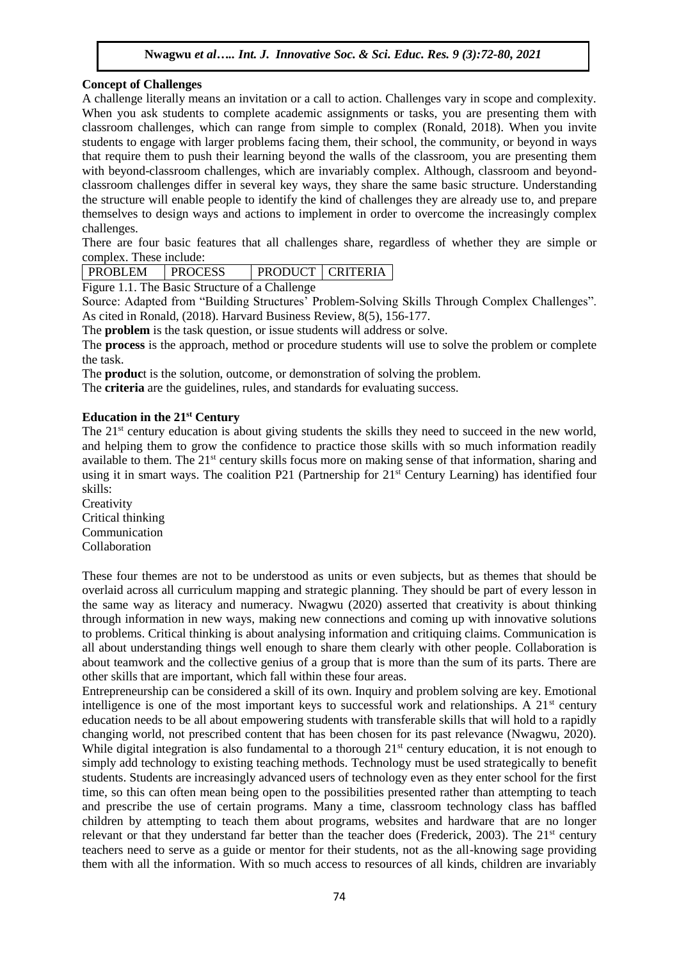## **Concept of Challenges**

A challenge literally means an invitation or a call to action. Challenges vary in scope and complexity. When you ask students to complete academic assignments or tasks, you are presenting them with classroom challenges, which can range from simple to complex (Ronald, 2018). When you invite students to engage with larger problems facing them, their school, the community, or beyond in ways that require them to push their learning beyond the walls of the classroom, you are presenting them with beyond-classroom challenges, which are invariably complex. Although, classroom and beyondclassroom challenges differ in several key ways, they share the same basic structure. Understanding the structure will enable people to identify the kind of challenges they are already use to, and prepare themselves to design ways and actions to implement in order to overcome the increasingly complex challenges.

There are four basic features that all challenges share, regardless of whether they are simple or complex. These include:

| <b>PROBLEM</b> | <b>PROCESS</b> | PRODUCT   CRITERIA |  |
|----------------|----------------|--------------------|--|
| $\mathbf{r}$   |                |                    |  |

Figure 1.1. The Basic Structure of a Challenge

Source: Adapted from "Building Structures' Problem-Solving Skills Through Complex Challenges". As cited in Ronald, (2018). Harvard Business Review, 8(5), 156-177.

The **problem** is the task question, or issue students will address or solve.

The **process** is the approach, method or procedure students will use to solve the problem or complete the task.

The **produc**t is the solution, outcome, or demonstration of solving the problem.

The **criteria** are the guidelines, rules, and standards for evaluating success.

### **Education in the 21st Century**

The 21<sup>st</sup> century education is about giving students the skills they need to succeed in the new world, and helping them to grow the confidence to practice those skills with so much information readily available to them. The 21<sup>st</sup> century skills focus more on making sense of that information, sharing and using it in smart ways. The coalition P21 (Partnership for 21<sup>st</sup> Century Learning) has identified four skills:

**Creativity** Critical thinking Communication Collaboration

These four themes are not to be understood as units or even subjects, but as themes that should be overlaid across all curriculum mapping and strategic planning. They should be part of every lesson in the same way as literacy and numeracy. Nwagwu (2020) asserted that creativity is about thinking through information in new ways, making new connections and coming up with innovative solutions to problems. Critical thinking is about analysing information and critiquing claims. Communication is all about understanding things well enough to share them clearly with other people. Collaboration is about teamwork and the collective genius of a group that is more than the sum of its parts. There are other skills that are important, which fall within these four areas.

Entrepreneurship can be considered a skill of its own. Inquiry and problem solving are key. Emotional intelligence is one of the most important keys to successful work and relationships. A  $21<sup>st</sup>$  century education needs to be all about empowering students with transferable skills that will hold to a rapidly changing world, not prescribed content that has been chosen for its past relevance (Nwagwu, 2020). While digital integration is also fundamental to a thorough  $21^{st}$  century education, it is not enough to simply add technology to existing teaching methods. Technology must be used strategically to benefit students. Students are increasingly advanced users of technology even as they enter school for the first time, so this can often mean being open to the possibilities presented rather than attempting to teach and prescribe the use of certain programs. Many a time, classroom technology class has baffled children by attempting to teach them about programs, websites and hardware that are no longer relevant or that they understand far better than the teacher does (Frederick, 2003). The  $21<sup>st</sup>$  century teachers need to serve as a guide or mentor for their students, not as the all-knowing sage providing them with all the information. With so much access to resources of all kinds, children are invariably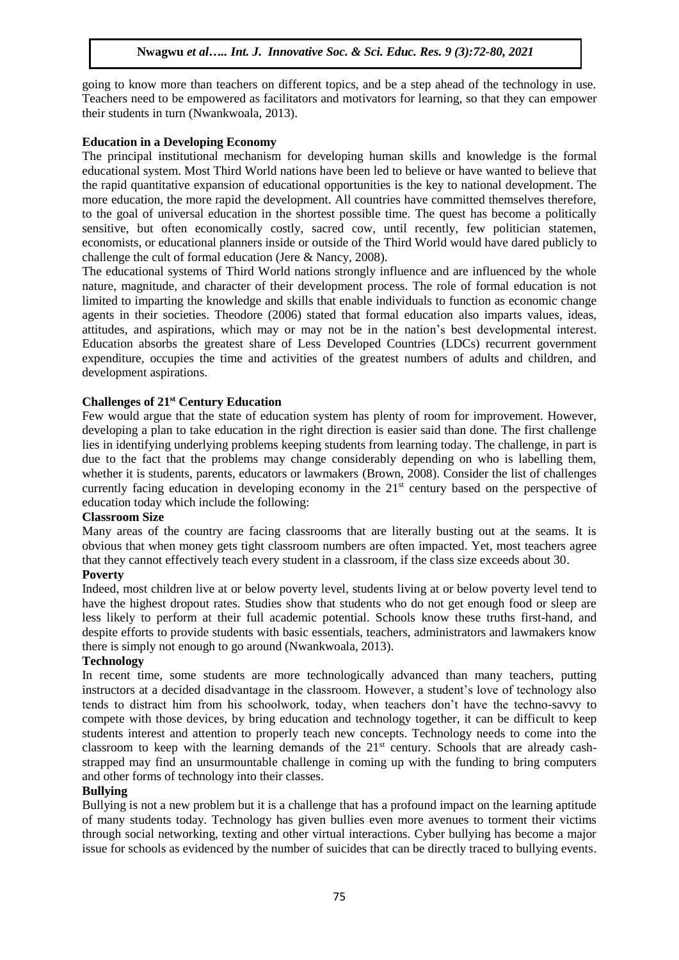going to know more than teachers on different topics, and be a step ahead of the technology in use. Teachers need to be empowered as facilitators and motivators for learning, so that they can empower their students in turn (Nwankwoala, 2013).

## **Education in a Developing Economy**

The principal institutional mechanism for developing human skills and knowledge is the formal educational system. Most Third World nations have been led to believe or have wanted to believe that the rapid quantitative expansion of educational opportunities is the key to national development. The more education, the more rapid the development. All countries have committed themselves therefore, to the goal of universal education in the shortest possible time. The quest has become a politically sensitive, but often economically costly, sacred cow, until recently, few politician statemen, economists, or educational planners inside or outside of the Third World would have dared publicly to challenge the cult of formal education (Jere & Nancy, 2008).

The educational systems of Third World nations strongly influence and are influenced by the whole nature, magnitude, and character of their development process. The role of formal education is not limited to imparting the knowledge and skills that enable individuals to function as economic change agents in their societies. Theodore (2006) stated that formal education also imparts values, ideas, attitudes, and aspirations, which may or may not be in the nation's best developmental interest. Education absorbs the greatest share of Less Developed Countries (LDCs) recurrent government expenditure, occupies the time and activities of the greatest numbers of adults and children, and development aspirations.

## **Challenges of 21st Century Education**

Few would argue that the state of education system has plenty of room for improvement. However, developing a plan to take education in the right direction is easier said than done. The first challenge lies in identifying underlying problems keeping students from learning today. The challenge, in part is due to the fact that the problems may change considerably depending on who is labelling them, whether it is students, parents, educators or lawmakers (Brown, 2008). Consider the list of challenges currently facing education in developing economy in the  $21<sup>st</sup>$  century based on the perspective of education today which include the following:

### **Classroom Size**

Many areas of the country are facing classrooms that are literally busting out at the seams. It is obvious that when money gets tight classroom numbers are often impacted. Yet, most teachers agree that they cannot effectively teach every student in a classroom, if the class size exceeds about 30.

### **Poverty**

Indeed, most children live at or below poverty level, students living at or below poverty level tend to have the highest dropout rates. Studies show that students who do not get enough food or sleep are less likely to perform at their full academic potential. Schools know these truths first-hand, and despite efforts to provide students with basic essentials, teachers, administrators and lawmakers know there is simply not enough to go around (Nwankwoala, 2013).

#### **Technology**

In recent time, some students are more technologically advanced than many teachers, putting instructors at a decided disadvantage in the classroom. However, a student's love of technology also tends to distract him from his schoolwork, today, when teachers don't have the techno-savvy to compete with those devices, by bring education and technology together, it can be difficult to keep students interest and attention to properly teach new concepts. Technology needs to come into the classroom to keep with the learning demands of the  $21<sup>st</sup>$  century. Schools that are already cashstrapped may find an unsurmountable challenge in coming up with the funding to bring computers and other forms of technology into their classes.

### **Bullying**

Bullying is not a new problem but it is a challenge that has a profound impact on the learning aptitude of many students today. Technology has given bullies even more avenues to torment their victims through social networking, texting and other virtual interactions. Cyber bullying has become a major issue for schools as evidenced by the number of suicides that can be directly traced to bullying events.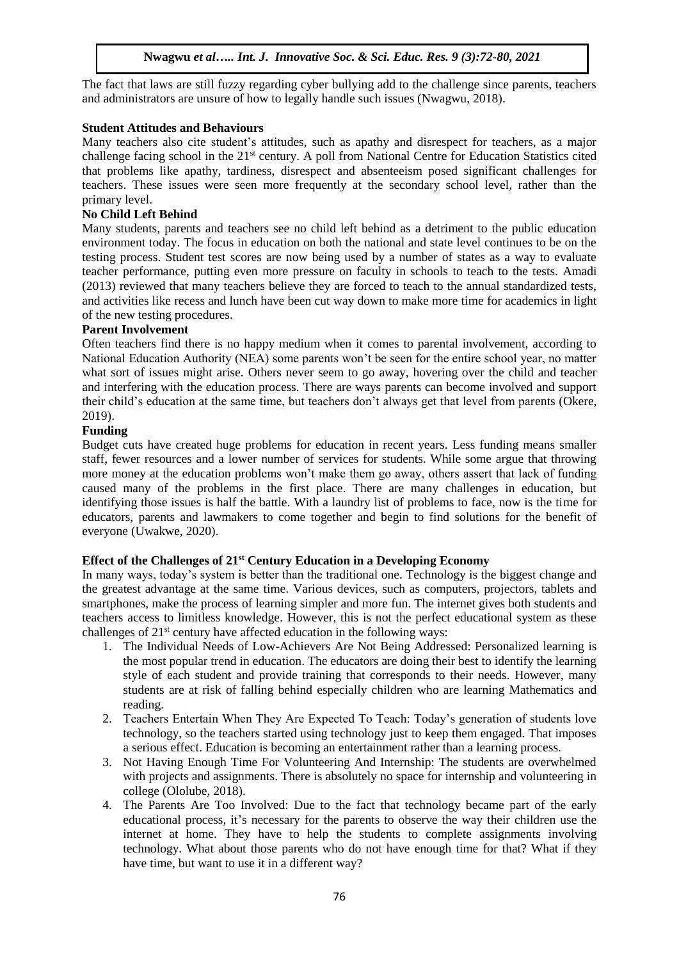The fact that laws are still fuzzy regarding cyber bullying add to the challenge since parents, teachers and administrators are unsure of how to legally handle such issues (Nwagwu, 2018).

## **Student Attitudes and Behaviours**

Many teachers also cite student's attitudes, such as apathy and disrespect for teachers, as a major challenge facing school in the 21<sup>st</sup> century. A poll from National Centre for Education Statistics cited that problems like apathy, tardiness, disrespect and absenteeism posed significant challenges for teachers. These issues were seen more frequently at the secondary school level, rather than the primary level.

## **No Child Left Behind**

Many students, parents and teachers see no child left behind as a detriment to the public education environment today. The focus in education on both the national and state level continues to be on the testing process. Student test scores are now being used by a number of states as a way to evaluate teacher performance, putting even more pressure on faculty in schools to teach to the tests. Amadi (2013) reviewed that many teachers believe they are forced to teach to the annual standardized tests, and activities like recess and lunch have been cut way down to make more time for academics in light of the new testing procedures.

### **Parent Involvement**

Often teachers find there is no happy medium when it comes to parental involvement, according to National Education Authority (NEA) some parents won't be seen for the entire school year, no matter what sort of issues might arise. Others never seem to go away, hovering over the child and teacher and interfering with the education process. There are ways parents can become involved and support their child's education at the same time, but teachers don't always get that level from parents (Okere, 2019).

## **Funding**

Budget cuts have created huge problems for education in recent years. Less funding means smaller staff, fewer resources and a lower number of services for students. While some argue that throwing more money at the education problems won't make them go away, others assert that lack of funding caused many of the problems in the first place. There are many challenges in education, but identifying those issues is half the battle. With a laundry list of problems to face, now is the time for educators, parents and lawmakers to come together and begin to find solutions for the benefit of everyone (Uwakwe, 2020).

### **Effect of the Challenges of 21st Century Education in a Developing Economy**

In many ways, today's system is better than the traditional one. Technology is the biggest change and the greatest advantage at the same time. Various devices, such as computers, projectors, tablets and smartphones, make the process of learning simpler and more fun. The internet gives both students and teachers access to limitless knowledge. However, this is not the perfect educational system as these challenges of  $21<sup>st</sup>$  century have affected education in the following ways:

- 1. The Individual Needs of Low-Achievers Are Not Being Addressed: Personalized learning is the most popular trend in education. The educators are doing their best to identify the learning style of each student and provide training that corresponds to their needs. However, many students are at risk of falling behind especially children who are learning Mathematics and reading.
- 2. Teachers Entertain When They Are Expected To Teach: Today's generation of students love technology, so the teachers started using technology just to keep them engaged. That imposes a serious effect. Education is becoming an entertainment rather than a learning process.
- 3. Not Having Enough Time For Volunteering And Internship: The students are overwhelmed with projects and assignments. There is absolutely no space for internship and volunteering in college (Ololube, 2018).
- 4. The Parents Are Too Involved: Due to the fact that technology became part of the early educational process, it's necessary for the parents to observe the way their children use the internet at home. They have to help the students to complete assignments involving technology. What about those parents who do not have enough time for that? What if they have time, but want to use it in a different way?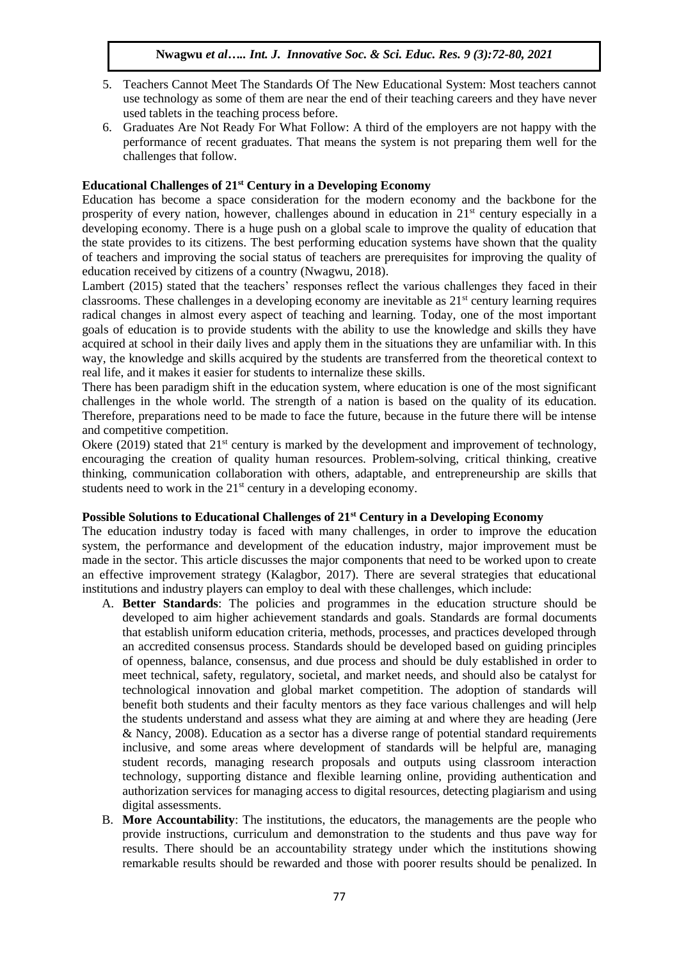- 5. Teachers Cannot Meet The Standards Of The New Educational System: Most teachers cannot use technology as some of them are near the end of their teaching careers and they have never used tablets in the teaching process before.
- 6. Graduates Are Not Ready For What Follow: A third of the employers are not happy with the performance of recent graduates. That means the system is not preparing them well for the challenges that follow.

## **Educational Challenges of 21st Century in a Developing Economy**

Education has become a space consideration for the modern economy and the backbone for the prosperity of every nation, however, challenges abound in education in  $21<sup>st</sup>$  century especially in a developing economy. There is a huge push on a global scale to improve the quality of education that the state provides to its citizens. The best performing education systems have shown that the quality of teachers and improving the social status of teachers are prerequisites for improving the quality of education received by citizens of a country (Nwagwu, 2018).

Lambert (2015) stated that the teachers' responses reflect the various challenges they faced in their classrooms. These challenges in a developing economy are inevitable as  $21<sup>st</sup>$  century learning requires radical changes in almost every aspect of teaching and learning. Today, one of the most important goals of education is to provide students with the ability to use the knowledge and skills they have acquired at school in their daily lives and apply them in the situations they are unfamiliar with. In this way, the knowledge and skills acquired by the students are transferred from the theoretical context to real life, and it makes it easier for students to internalize these skills.

There has been paradigm shift in the education system, where education is one of the most significant challenges in the whole world. The strength of a nation is based on the quality of its education. Therefore, preparations need to be made to face the future, because in the future there will be intense and competitive competition.

Okere (2019) stated that  $21^{st}$  century is marked by the development and improvement of technology, encouraging the creation of quality human resources. Problem-solving, critical thinking, creative thinking, communication collaboration with others, adaptable, and entrepreneurship are skills that students need to work in the  $21<sup>st</sup>$  century in a developing economy.

## **Possible Solutions to Educational Challenges of 21st Century in a Developing Economy**

The education industry today is faced with many challenges, in order to improve the education system, the performance and development of the education industry, major improvement must be made in the sector. This article discusses the major components that need to be worked upon to create an effective improvement strategy (Kalagbor, 2017). There are several strategies that educational institutions and industry players can employ to deal with these challenges, which include:

- A. **Better Standards**: The policies and programmes in the education structure should be developed to aim higher achievement standards and goals. Standards are formal documents that establish uniform education criteria, methods, processes, and practices developed through an accredited consensus process. Standards should be developed based on guiding principles of openness, balance, consensus, and due process and should be duly established in order to meet technical, safety, regulatory, societal, and market needs, and should also be catalyst for technological innovation and global market competition. The adoption of standards will benefit both students and their faculty mentors as they face various challenges and will help the students understand and assess what they are aiming at and where they are heading (Jere & Nancy, 2008). Education as a sector has a diverse range of potential standard requirements inclusive, and some areas where development of standards will be helpful are, managing student records, managing research proposals and outputs using classroom interaction technology, supporting distance and flexible learning online, providing authentication and authorization services for managing access to digital resources, detecting plagiarism and using digital assessments.
- B. **More Accountability**: The institutions, the educators, the managements are the people who provide instructions, curriculum and demonstration to the students and thus pave way for results. There should be an accountability strategy under which the institutions showing remarkable results should be rewarded and those with poorer results should be penalized. In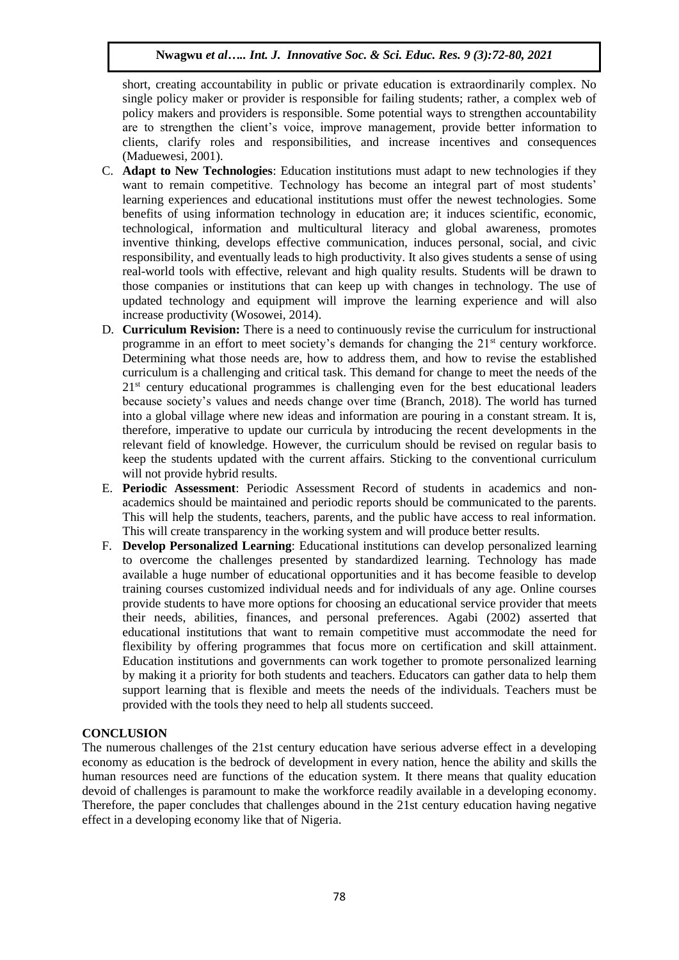short, creating accountability in public or private education is extraordinarily complex. No single policy maker or provider is responsible for failing students; rather, a complex web of policy makers and providers is responsible. Some potential ways to strengthen accountability are to strengthen the client's voice, improve management, provide better information to clients, clarify roles and responsibilities, and increase incentives and consequences (Maduewesi, 2001).

- C. **Adapt to New Technologies**: Education institutions must adapt to new technologies if they want to remain competitive. Technology has become an integral part of most students' learning experiences and educational institutions must offer the newest technologies. Some benefits of using information technology in education are; it induces scientific, economic, technological, information and multicultural literacy and global awareness, promotes inventive thinking, develops effective communication, induces personal, social, and civic responsibility, and eventually leads to high productivity. It also gives students a sense of using real-world tools with effective, relevant and high quality results. Students will be drawn to those companies or institutions that can keep up with changes in technology. The use of updated technology and equipment will improve the learning experience and will also increase productivity (Wosowei, 2014).
- D. **Curriculum Revision:** There is a need to continuously revise the curriculum for instructional programme in an effort to meet society's demands for changing the  $21<sup>st</sup>$  century workforce. Determining what those needs are, how to address them, and how to revise the established curriculum is a challenging and critical task. This demand for change to meet the needs of the 21<sup>st</sup> century educational programmes is challenging even for the best educational leaders because society's values and needs change over time (Branch, 2018). The world has turned into a global village where new ideas and information are pouring in a constant stream. It is, therefore, imperative to update our curricula by introducing the recent developments in the relevant field of knowledge. However, the curriculum should be revised on regular basis to keep the students updated with the current affairs. Sticking to the conventional curriculum will not provide hybrid results.
- E. **Periodic Assessment**: Periodic Assessment Record of students in academics and nonacademics should be maintained and periodic reports should be communicated to the parents. This will help the students, teachers, parents, and the public have access to real information. This will create transparency in the working system and will produce better results.
- F. **Develop Personalized Learning**: Educational institutions can develop personalized learning to overcome the challenges presented by standardized learning. Technology has made available a huge number of educational opportunities and it has become feasible to develop training courses customized individual needs and for individuals of any age. Online courses provide students to have more options for choosing an educational service provider that meets their needs, abilities, finances, and personal preferences. Agabi (2002) asserted that educational institutions that want to remain competitive must accommodate the need for flexibility by offering programmes that focus more on certification and skill attainment. Education institutions and governments can work together to promote personalized learning by making it a priority for both students and teachers. Educators can gather data to help them support learning that is flexible and meets the needs of the individuals. Teachers must be provided with the tools they need to help all students succeed.

### **CONCLUSION**

The numerous challenges of the 21st century education have serious adverse effect in a developing economy as education is the bedrock of development in every nation, hence the ability and skills the human resources need are functions of the education system. It there means that quality education devoid of challenges is paramount to make the workforce readily available in a developing economy. Therefore, the paper concludes that challenges abound in the 21st century education having negative effect in a developing economy like that of Nigeria.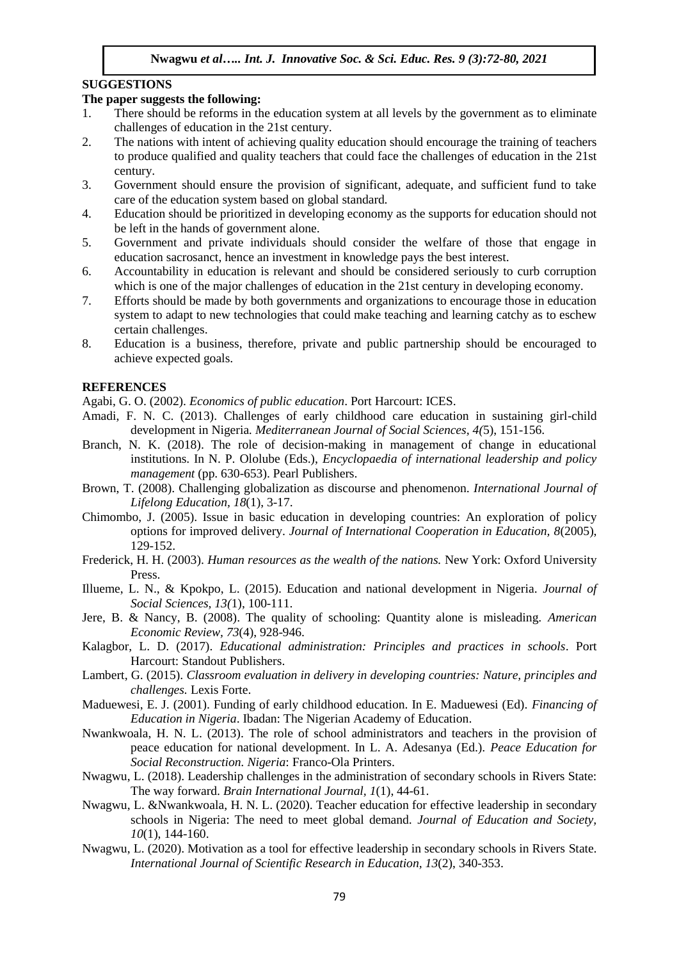#### **SUGGESTIONS**

## **The paper suggests the following:**

- 1. There should be reforms in the education system at all levels by the government as to eliminate challenges of education in the 21st century.
- 2. The nations with intent of achieving quality education should encourage the training of teachers to produce qualified and quality teachers that could face the challenges of education in the 21st century.
- 3. Government should ensure the provision of significant, adequate, and sufficient fund to take care of the education system based on global standard.
- 4. Education should be prioritized in developing economy as the supports for education should not be left in the hands of government alone.
- 5. Government and private individuals should consider the welfare of those that engage in education sacrosanct, hence an investment in knowledge pays the best interest.
- 6. Accountability in education is relevant and should be considered seriously to curb corruption which is one of the major challenges of education in the 21st century in developing economy.
- 7. Efforts should be made by both governments and organizations to encourage those in education system to adapt to new technologies that could make teaching and learning catchy as to eschew certain challenges.
- 8. Education is a business, therefore, private and public partnership should be encouraged to achieve expected goals.

#### **REFERENCES**

- Agabi, G. O. (2002). *Economics of public education*. Port Harcourt: ICES.
- Amadi, F. N. C. (2013). Challenges of early childhood care education in sustaining girl-child development in Nigeria*. Mediterranean Journal of Social Sciences, 4(*5), 151-156.
- Branch, N. K. (2018). The role of decision-making in management of change in educational institutions. In N. P. Ololube (Eds.), *Encyclopaedia of international leadership and policy management* (pp. 630-653). Pearl Publishers.
- Brown, T. (2008). Challenging globalization as discourse and phenomenon. *International Journal of Lifelong Education, 18*(1), 3-17.
- Chimombo, J. (2005). Issue in basic education in developing countries: An exploration of policy options for improved delivery. *Journal of International Cooperation in Education, 8*(2005), 129-152.
- Frederick, H. H. (2003). *Human resources as the wealth of the nations.* New York: Oxford University Press.
- Illueme, L. N., & Kpokpo, L. (2015). Education and national development in Nigeria. *Journal of Social Sciences, 13(*1), 100-111.
- Jere, B. & Nancy, B. (2008). The quality of schooling: Quantity alone is misleading. *American Economic Review, 73*(4), 928-946.
- Kalagbor, L. D. (2017). *Educational administration: Principles and practices in schools*. Port Harcourt: Standout Publishers.
- Lambert, G. (2015). *Classroom evaluation in delivery in developing countries: Nature, principles and challenges.* Lexis Forte.
- Maduewesi, E. J. (2001). Funding of early childhood education. In E. Maduewesi (Ed). *Financing of Education in Nigeria*. Ibadan: The Nigerian Academy of Education.
- Nwankwoala, H. N. L. (2013). The role of school administrators and teachers in the provision of peace education for national development. In L. A. Adesanya (Ed.). *Peace Education for Social Reconstruction. Nigeria*: Franco-Ola Printers.
- Nwagwu, L. (2018). Leadership challenges in the administration of secondary schools in Rivers State: The way forward. *Brain International Journal, 1*(1), 44-61.
- Nwagwu, L. &Nwankwoala, H. N. L. (2020). Teacher education for effective leadership in secondary schools in Nigeria: The need to meet global demand. *Journal of Education and Society, 10*(1), 144-160.
- Nwagwu, L. (2020). Motivation as a tool for effective leadership in secondary schools in Rivers State. *International Journal of Scientific Research in Education, 13*(2), 340-353.